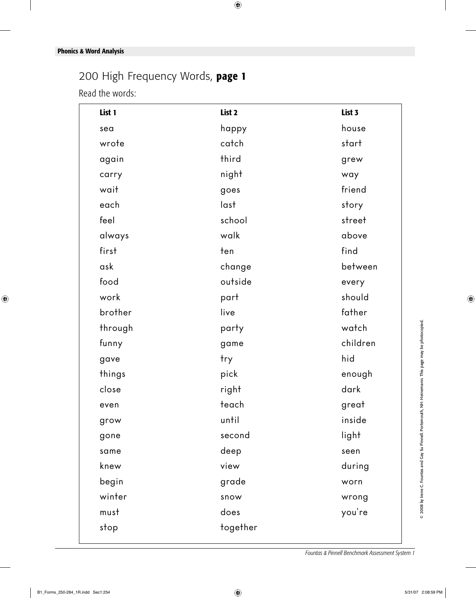## 200 High Frequency Words, **page 1**

Read the words:

| List 1  | List 2   | List 3   |
|---------|----------|----------|
| sea     | happy    | house    |
| wrote   | catch    | start    |
| again   | third    | grew     |
| carry   | night    | way      |
| wait    | goes     | friend   |
| each    | last     | story    |
| feel    | school   | street   |
| always  | walk     | above    |
| first   | ten      | find     |
| ask     | change   | between  |
| food    | outside  | every    |
| work    | part     | should   |
| brother | live     | father   |
| through | party    | watch    |
| funny   | game     | children |
| gave    | try      | hid      |
| things  | pick     | enough   |
| close   | right    | dark     |
| even    | teach    | great    |
| grow    | until    | inside   |
| gone    | second   | light    |
| same    | deep     | seen     |
| knew    | view     | during   |
| begin   | grade    | worn     |
| winter  | snow     | wrong    |
| must    | does     | you're   |
| stop    | together |          |
|         |          |          |

© 2008 by Irene C. Fountas and Gay Su Pinnell. Portsmouth, NH: Heinemann. This page may be photocopied. © 2008 by Irene C. Fountas and Gay Su Pinnell. Portsmouth, NH: Heinemann. This page may be photocopied.